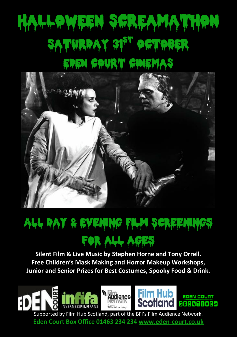# HALLOWEEN SCREAMATHON SATURDAY 31<sup>ST</sup> OCTOBER EDEN COURT CINEMAS



## all Day & Evening Film Screenings for all ages

**Silent Film & Live Music by Stephen Horne and Tony Orrell. Free Children's Mask Making and Horror Makeup Workshops, Junior and Senior Prizes for Best Costumes, Spooky Food & Drink.**



Supported by Film Hub Scotland, part of the BFI's Film Audience Network. **Eden Court Box Office 01463 234 234 [www.eden-court.co.uk](http://www.eden-court.co.uk/)**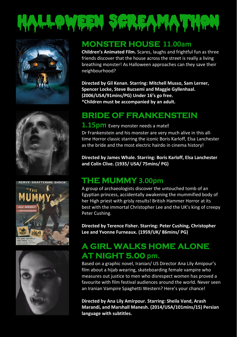









#### **MONSTER HOUSE 11.00am**

**Children's Animated Film.** Scares, laughs and frightful fun as three friends discover that the house across the street is really a living breathing monster! As Halloween approaches can they save their neighbourhood?

**Directed by Gil Kenan. Starring: Mitchell Musso, Sam Lerner, Spencer Locke, Steve Bucsemi and Maggie Gyllenhaal. (2006/USA/91mins/PG) Under 16's go free. \*Children must be accompanied by an adult.**

### **BRIDE OF FRANKENSTEIN**

#### **1.15pm** Every monster needs a mate**!**

Dr Frankenstein and his monster are very much alive in this alltime Horror classic starring the iconic Boris Karloff, Elsa Lanchester as the bride and the most electric hairdo in cinema history!

**Directed by James Whale. Starring: Boris Karloff, Elsa Lanchester and Colin Clive. (1935/ USA/ 75mins/ PG)**

#### **THE MUMMY 3.00pm**

A group of archaeologists discover the untouched tomb of an Egyptian princess, accidentally awakening the mummified body of her High priest with grisly results! British Hammer Horror at its best with the immortal Christopher Lee and the UK's king of creepy Peter Cushing.

**Directed by Terence Fisher. Starring: Peter Cushing, Christopher Lee and Yvonne Furneaux. (1959/UK/ 86mins/ PG)**

## **A GIRL WALKS HOME ALONE AT NIGHT 5.00 pm.**

Based on a graphic novel, Iranian/ US Director Ana Lily Amipour's film about a hijab wearing, skateboarding female vampire who measures out justice to men who disrespect women has proved a favourite with film festival audiences around the world. Never seen an Iranian Vampire Spaghetti Western? Here's your chance!

**Directed by Ana Lily Amirpour. Starring: Sheila Vand, Arash Marandi, and Marshall Manesh. (2014/USA/101mins/15) Persian language with subtitles.**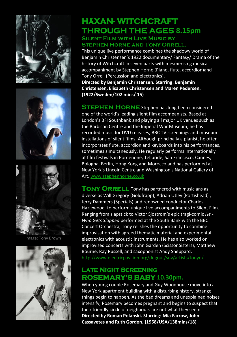





Image: Tony Brown



## **HäXAN- WITCHCRAFT THROUGH THE AGES 8.15pm**

#### **Silent Film with Live Music by Stephen Horne and Tony Orrell.**

This unique live performance combines the shadowy world of Benjamin Christensen's 1922 documentary/ Fantasy/ Drama of the history of Witchcraft in seven parts with mesmerising musical accompaniment by Stephen Horne (Piano, flute, accordion)and Tony Orrell (Percussion and electronics).

**Directed by Benjamin Christensen. Starring: Benjamin Christensen, Elisabeth Christensen and Maren Pedersen. (1922/Sweden/102 mins/ 15)**

**STEPHEN HORNE** Stephen has long been considered one of the world's leading silent film accompanists. Based at London's BFI Southbank and playing all major UK venues such as the Barbican Centre and the Imperial War Museum, he has recorded music for DVD releases, BBC TV screenings and museum installations of silent films. Although principally a pianist, he often incorporates flute, accordion and keyboards into his performances, sometimes simultaneously. He regularly performs internationally at film festivals in Pordenone, Telluride, San Francisco, Cannes, Bologna, Berlin, Hong Kong and Morocco and has performed at New York's Lincoln Centre and Washington's National Gallery of Art[. www.stephenhorne.co.uk](http://www.stephenhorne.co.uk/)

**TONY ORRELL** Tony has partnered with musicians as diverse as Will Gregory (Goldfrapp), Adrian Utley (Portishead) , Jerry Dammers (Specials) and renowned conductor Charles Hazlewood to perform unique live accompaniments to Silent Film. Ranging from slapstick to Victor Sjostrom's epic tragi-comic *He - Who Gets Slapped* performed at the South Bank with the BBC Concert Orchestra, Tony relishes the opportunity to combine improvisation with agreed thematic material and experimental electronics with acoustic instruments. He has also worked on improvised concerts with John Garden (Scissor Sisters), Matthew Bourne, Ray Russell, and saxophonist Andy Sheppard. <http://www.electricpavilion.org/dugout/snv/artists/tonyo/>

#### **Late Night Screening ROSEMARY'S BABY 10.30pm.**

When young couple Rosemary and Guy Woodhouse move into a New York apartment building with a disturbing history, strange things begin to happen. As the bad dreams and unexplained noises intensify, Rosemary becomes pregnant and begins to suspect that their friendly circle of neighbours are not what they seem. **Directed by Roman Polanski. Starring: Mia Farrow, John Cassavetes and Ruth Gordon. (1968/USA/138mins/18)**